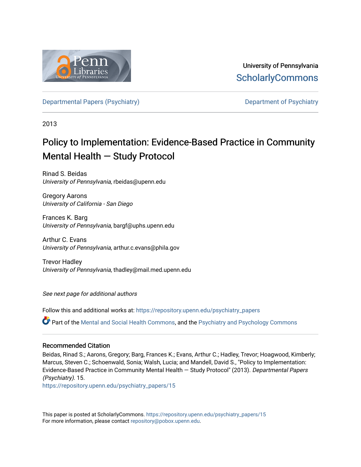

University of Pennsylvania **ScholarlyCommons** 

[Departmental Papers \(Psychiatry\)](https://repository.upenn.edu/psychiatry_papers) [Department of Psychiatry](https://repository.upenn.edu/psychiatry) Department of Psychiatry

2013

# Policy to Implementation: Evidence-Based Practice in Community Mental Health — Study Protocol

Rinad S. Beidas University of Pennsylvania, rbeidas@upenn.edu

Gregory Aarons University of California - San Diego

Frances K. Barg University of Pennsylvania, bargf@uphs.upenn.edu

Arthur C. Evans University of Pennsylvania, arthur.c.evans@phila.gov

Trevor Hadley University of Pennsylvania, thadley@mail.med.upenn.edu

See next page for additional authors

Follow this and additional works at: [https://repository.upenn.edu/psychiatry\\_papers](https://repository.upenn.edu/psychiatry_papers?utm_source=repository.upenn.edu%2Fpsychiatry_papers%2F15&utm_medium=PDF&utm_campaign=PDFCoverPages)

Part of the [Mental and Social Health Commons,](http://network.bepress.com/hgg/discipline/709?utm_source=repository.upenn.edu%2Fpsychiatry_papers%2F15&utm_medium=PDF&utm_campaign=PDFCoverPages) and the [Psychiatry and Psychology Commons](http://network.bepress.com/hgg/discipline/908?utm_source=repository.upenn.edu%2Fpsychiatry_papers%2F15&utm_medium=PDF&utm_campaign=PDFCoverPages)

## Recommended Citation

Beidas, Rinad S.; Aarons, Gregory; Barg, Frances K.; Evans, Arthur C.; Hadley, Trevor; Hoagwood, Kimberly; Marcus, Steven C.; Schoenwald, Sonia; Walsh, Lucia; and Mandell, David S., "Policy to Implementation: Evidence-Based Practice in Community Mental Health — Study Protocol" (2013). Departmental Papers (Psychiatry). 15.

[https://repository.upenn.edu/psychiatry\\_papers/15](https://repository.upenn.edu/psychiatry_papers/15?utm_source=repository.upenn.edu%2Fpsychiatry_papers%2F15&utm_medium=PDF&utm_campaign=PDFCoverPages) 

This paper is posted at ScholarlyCommons. [https://repository.upenn.edu/psychiatry\\_papers/15](https://repository.upenn.edu/psychiatry_papers/15) For more information, please contact [repository@pobox.upenn.edu.](mailto:repository@pobox.upenn.edu)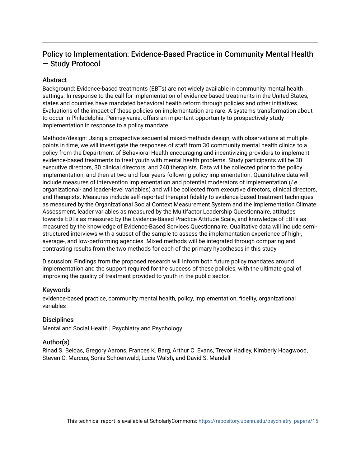# Policy to Implementation: Evidence-Based Practice in Community Mental Health — Study Protocol

# **Abstract**

Background: Evidence-based treatments (EBTs) are not widely available in community mental health settings. In response to the call for implementation of evidence-based treatments in the United States, states and counties have mandated behavioral health reform through policies and other initiatives. Evaluations of the impact of these policies on implementation are rare. A systems transformation about to occur in Philadelphia, Pennsylvania, offers an important opportunity to prospectively study implementation in response to a policy mandate.

Methods/design: Using a prospective sequential mixed-methods design, with observations at multiple points in time, we will investigate the responses of staff from 30 community mental health clinics to a policy from the Department of Behavioral Health encouraging and incentivizing providers to implement evidence-based treatments to treat youth with mental health problems. Study participants will be 30 executive directors, 30 clinical directors, and 240 therapists. Data will be collected prior to the policy implementation, and then at two and four years following policy implementation. Quantitative data will include measures of intervention implementation and potential moderators of implementation (i.e., organizational- and leader-level variables) and will be collected from executive directors, clinical directors, and therapists. Measures include self-reported therapist fidelity to evidence-based treatment techniques as measured by the Organizational Social Context Measurement System and the Implementation Climate Assessment, leader variables as measured by the Multifactor Leadership Questionnaire, attitudes towards EDTs as measured by the Evidence-Based Practice Attitude Scale, and knowledge of EBTs as measured by the knowledge of Evidence-Based Services Questionnaire. Qualitative data will include semistructured interviews with a subset of the sample to assess the implementation experience of high-, average-, and low-performing agencies. Mixed methods will be integrated through comparing and contrasting results from the two methods for each of the primary hypotheses in this study.

Discussion: Findings from the proposed research will inform both future policy mandates around implementation and the support required for the success of these policies, with the ultimate goal of improving the quality of treatment provided to youth in the public sector.

# Keywords

evidence-based practice, community mental health, policy, implementation, fidelity, organizational variables

# **Disciplines**

Mental and Social Health | Psychiatry and Psychology

# Author(s)

Rinad S. Beidas, Gregory Aarons, Frances K. Barg, Arthur C. Evans, Trevor Hadley, Kimberly Hoagwood, Steven C. Marcus, Sonia Schoenwald, Lucia Walsh, and David S. Mandell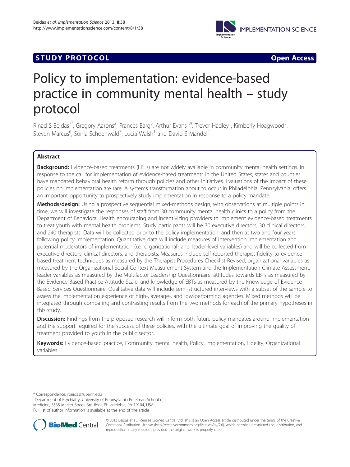# **STUDY PROTOCOL CONSUMING THE RESERVE ACCESS**



# Policy to implementation: evidence-based practice in community mental health – study protocol

Rinad S Beidas<sup>1\*</sup>, Gregory Aarons<sup>2</sup>, Frances Barg<sup>3</sup>, Arthur Evans<sup>1,4</sup>, Trevor Hadley<sup>1</sup>, Kimberly Hoagwood<sup>5</sup> , Steven Marcus<sup>6</sup>, Sonja Schoenwald<sup>7</sup>, Lucia Walsh<sup>1</sup> and David S Mandell<sup>1</sup>

## Abstract

Background: Evidence-based treatments (EBTs) are not widely available in community mental health settings. In response to the call for implementation of evidence-based treatments in the United States, states and counties have mandated behavioral health reform through policies and other initiatives. Evaluations of the impact of these policies on implementation are rare. A systems transformation about to occur in Philadelphia, Pennsylvania, offers an important opportunity to prospectively study implementation in response to a policy mandate.

Methods/design: Using a prospective sequential mixed-methods design, with observations at multiple points in time, we will investigate the responses of staff from 30 community mental health clinics to a policy from the Department of Behavioral Health encouraging and incentivizing providers to implement evidence-based treatments to treat youth with mental health problems. Study participants will be 30 executive directors, 30 clinical directors, and 240 therapists. Data will be collected prior to the policy implementation, and then at two and four years following policy implementation. Quantitative data will include measures of intervention implementation and potential moderators of implementation (i.e., organizational- and leader-level variables) and will be collected from executive directors, clinical directors, and therapists. Measures include self-reported therapist fidelity to evidencebased treatment techniques as measured by the Therapist Procedures Checklist-Revised, organizational variables as measured by the Organizational Social Context Measurement System and the Implementation Climate Assessment, leader variables as measured by the Multifactor Leadership Questionnaire, attitudes towards EBTs as measured by the Evidence-Based Practice Attitude Scale, and knowledge of EBTs as measured by the Knowledge of Evidence-Based Services Questionnaire. Qualitative data will include semi-structured interviews with a subset of the sample to assess the implementation experience of high-, average-, and low-performing agencies. Mixed methods will be integrated through comparing and contrasting results from the two methods for each of the primary hypotheses in this study.

**Discussion:** Findings from the proposed research will inform both future policy mandates around implementation and the support required for the success of these policies, with the ultimate goal of improving the quality of treatment provided to youth in the public sector.

Keywords: Evidence-based practice, Community mental health, Policy, Implementation, Fidelity, Organizational variables

\* Correspondence: [rbeidas@upenn.edu](mailto:rbeidas@upenn.edu) <sup>1</sup>

<sup>1</sup>Department of Psychiatry, University of Pennsylvania Perelman School of Medicine, 3535 Market Street, 3rd floor, Philadelphia, PA 19104, USA Full list of author information is available at the end of the article



© 2013 Beidas et al.; licensee BioMed Central Ltd. This is an Open Access article distributed under the terms of the Creative Commons Attribution License [\(http://creativecommons.org/licenses/by/2.0\)](http://creativecommons.org/licenses/by/2.0), which permits unrestricted use, distribution, and reproduction in any medium, provided the original work is properly cited.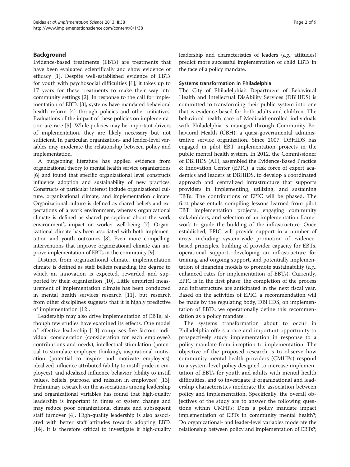### Background

Evidence-based treatments (EBTs) are treatments that have been evaluated scientifically and show evidence of efficacy [\[1](#page-9-0)]. Despite well-established evidence of EBTs for youth with psychosocial difficulties [\[1](#page-9-0)], it takes up to 17 years for these treatments to make their way into community settings [\[2](#page-9-0)]. In response to the call for implementation of EBTs [\[3](#page-9-0)], systems have mandated behavioral health reform [\[4](#page-9-0)] through policies and other initiatives. Evaluations of the impact of these policies on implementation are rare [\[5](#page-9-0)]. While policies may be important drivers of implementation, they are likely necessary but not sufficient. In particular, organization- and leader-level variables may moderate the relationship between policy and implementation.

A burgeoning literature has applied evidence from organizational theory to mental health service organizations [[6](#page-9-0)] and found that specific organizational level constructs influence adoption and sustainability of new practices. Constructs of particular interest include organizational culture, organizational climate, and implementation climate. Organizational culture is defined as shared beliefs and expectations of a work environment, whereas organizational climate is defined as shared perceptions about the work environment's impact on worker well-being [\[7\]](#page-9-0). Organizational climate has been associated with both implementation and youth outcomes [\[8\]](#page-9-0). Even more compelling, interventions that improve organizational climate can improve implementation of EBTs in the community [\[9\]](#page-9-0).

Distinct from organizational climate, implementation climate is defined as staff beliefs regarding the degree to which an innovation is expected, rewarded and supported by their organization [[10](#page-9-0)]. Little empirical measurement of implementation climate has been conducted in mental health services research [\[11\]](#page-9-0), but research from other disciplines suggests that it is highly predictive of implementation [\[12](#page-9-0)].

Leadership may also drive implementation of EBTs, although few studies have examined its effects. One model of effective leadership [[13\]](#page-9-0) comprises five factors: individual consideration (consideration for each employee's contributions and needs), intellectual stimulation (potential to stimulate employee thinking), inspirational motivation (potential to inspire and motivate employees), idealized influence attributed (ability to instill pride in employees), and idealized influence behavior (ability to instill values, beliefs, purpose, and mission in employees) [[13](#page-9-0)]. Preliminary research on the associations among leadership and organizational variables has found that high-quality leadership is important in times of system change and may reduce poor organizational climate and subsequent staff turnover [[4](#page-9-0)]. High-quality leadership is also associated with better staff attitudes towards adopting EBTs [[14](#page-9-0)]. It is therefore critical to investigate if high-quality leadership and characteristics of leaders (e.g., attitudes) predict more successful implementation of child EBTs in the face of a policy mandate.

#### Systems transformation in Philadelphia

The City of Philadelphia's Department of Behavioral Health and Intellectual DisAbility Services (DBHIDS) is committed to transforming their public system into one that is evidence-based for both adults and children. The behavioral health care of Medicaid-enrolled individuals with Philadelphia is managed through Community Behavioral Health (CBH), a quasi-governmental administrative service organization. Since 2007, DBHIDS has engaged in pilot EBT implementation projects in the public mental health system. In 2012, the Commissioner of DBHIDS (AE), assembled the Evidence-Based Practice & Innovation Center (EPIC), a task force of expert academics and leaders at DBHIDS, to develop a coordinated approach and centralized infrastructure that supports providers in implementing, utilizing, and sustaining EBTs. The contributions of EPIC will be phased. The first phase entails compiling lessons learned from pilot EBT implementation projects, engaging community stakeholders, and selection of an implementation framework to guide the building of the infrastructure. Once established, EPIC will provide support in a number of areas, including: system-wide promotion of evidencebased principles, building of provider capacity for EBTs, operational support, developing an infrastructure for training and ongoing support, and potentially implementation of financing models to promote sustainability (e.g., enhanced rates for implementation of EBTs). Currently, EPIC is in the first phase; the completion of the process and infrastructure are anticipated in the next fiscal year. Based on the activities of EPIC, a recommendation will be made by the regulating body, DBHIDS, on implementation of EBTs; we operationally define this recommendation as a policy mandate.

The systems transformation about to occur in Philadelphia offers a rare and important opportunity to prospectively study implementation in response to a policy mandate from inception to implementation. The objective of the proposed research is to observe how community mental health providers (CMHPs) respond to a system-level policy designed to increase implementation of EBTs for youth and adults with mental health difficulties, and to investigate if organizational and leadership characteristics moderate the association between policy and implementation. Specifically, the overall objectives of the study are to answer the following questions within CMHPs: Does a policy mandate impact implementation of EBTs in community mental health?; Do organizational- and leader-level variables moderate the relationship between policy and implementation of EBTs?;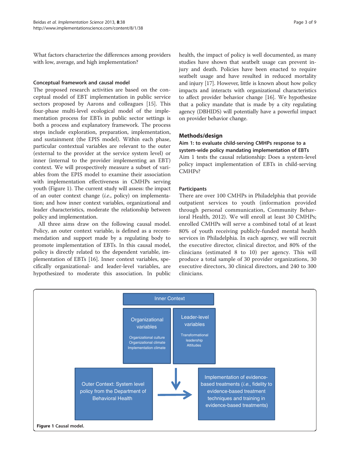<span id="page-4-0"></span>What factors characterize the differences among providers with low, average, and high implementation?

#### Conceptual framework and causal model

The proposed research activities are based on the conceptual model of EBT implementation in public service sectors proposed by Aarons and colleagues [\[15](#page-9-0)]. This four-phase multi-level ecological model of the implementation process for EBTs in public sector settings is both a process and explanatory framework. The process steps include exploration, preparation, implementation, and sustainment (the EPIS model). Within each phase, particular contextual variables are relevant to the outer (external to the provider at the service system level) or inner (internal to the provider implementing an EBT) context. We will prospectively measure a subset of variables from the EPIS model to examine their association with implementation effectiveness in CMHPs serving youth (Figure 1). The current study will assess: the impact of an outer context change (i.e., policy) on implementation; and how inner context variables, organizational and leader characteristics, moderate the relationship between policy and implementation.

All three aims draw on the following causal model. Policy, an outer context variable, is defined as a recommendation and support made by a regulating body to promote implementation of EBTs. In this causal model, policy is directly related to the dependent variable, implementation of EBTs [[16](#page-9-0)]. Inner context variables, specifically organizational- and leader-level variables, are hypothesized to moderate this association. In public health, the impact of policy is well documented, as many studies have shown that seatbelt usage can prevent injury and death. Policies have been enacted to require seatbelt usage and have resulted in reduced mortality and injury [[17](#page-9-0)]. However, little is known about how policy impacts and interacts with organizational characteristics to affect provider behavior change [\[16\]](#page-9-0). We hypothesize that a policy mandate that is made by a city regulating agency (DBHIDS) will potentially have a powerful impact on provider behavior change.

### Methods/design

# Aim 1: to evaluate child-serving CMHPs response to a

system-wide policy mandating implementation of EBTs Aim 1 tests the causal relationship: Does a system-level policy impact implementation of EBTs in child-serving CMHPs?

#### Participants

There are over 100 CMHPs in Philadelphia that provide outpatient services to youth (information provided through personal communication, Community Behavioral Health, 2012). We will enroll at least 30 CMHPs; enrolled CMHPs will serve a combined total of at least 80% of youth receiving publicly-funded mental health services in Philadelphia. In each agency, we will recruit the executive director, clinical director, and 80% of the clinicians (estimated 8 to 10) per agency. This will produce a total sample of 30 provider organizations, 30 executive directors, 30 clinical directors, and 240 to 300 clinicians.

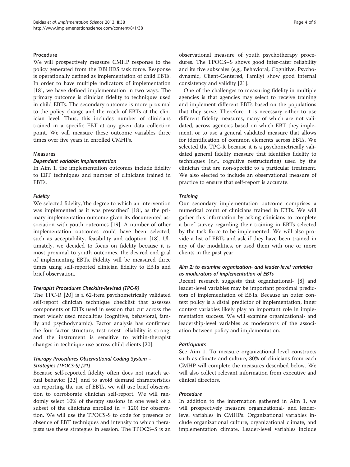#### Procedure

We will prospectively measure CMHP response to the policy generated from the DBHIDS task force. Response is operationally defined as implementation of child EBTs. In order to have multiple indicators of implementation [[18\]](#page-9-0), we have defined implementation in two ways. The primary outcome is clinician fidelity to techniques used in child EBTs. The secondary outcome is more proximal to the policy change and the reach of EBTs at the clinician level. Thus, this includes number of clinicians trained in a specific EBT at any given data collection point. We will measure these outcome variables three times over five years in enrolled CMHPs.

#### Measures

#### Dependent variable: implementation

In Aim 1, the implementation outcomes include fidelity to EBT techniques and number of clinicians trained in EBTs.

#### Fidelity

We selected fidelity, 'the degree to which an intervention was implemented as it was prescribed' [[18\]](#page-9-0), as the primary implementation outcome given its documented association with youth outcomes [[19\]](#page-9-0). A number of other implementation outcomes could have been selected, such as acceptability, feasibility and adoption [\[18](#page-9-0)]. Ultimately, we decided to focus on fidelity because it is most proximal to youth outcomes, the desired end goal of implementing EBTs. Fidelity will be measured three times using self-reported clinician fidelity to EBTs and brief observation.

#### Therapist Procedures Checklist-Revised (TPC-R)

The TPC-R [\[20](#page-9-0)] is a 62-item psychometrically validated self-report clinician technique checklist that assesses components of EBTs used in session that cut across the most widely used modalities (cognitive, behavioral, family and psychodynamic). Factor analysis has confirmed the four-factor structure, test-retest reliability is strong, and the instrument is sensitive to within-therapist changes in technique use across child clients [\[20](#page-9-0)].

### Therapy Procedures Observational Coding System – Strategies (TPOCS-S) [\[21\]](#page-9-0)

Because self-reported fidelity often does not match actual behavior [[22](#page-9-0)], and to avoid demand characteristics on reporting the use of EBTs, we will use brief observation to corroborate clinician self-report. We will randomly select 10% of therapy sessions in one week of a subset of the clinicians enrolled  $(n = 120)$  for observation. We will use the TPOCS-S to code for presence or absence of EBT techniques and intensity to which therapists use these strategies in session. The TPOCS–S is an

observational measure of youth psychotherapy procedures. The TPOCS–S shows good inter-rater reliability and its five subscales (e.g., Behavioral, Cognitive, Psychodynamic, Client-Centered, Family) show good internal consistency and validity [[21\]](#page-9-0).

One of the challenges to measuring fidelity in multiple agencies is that agencies may select to receive training and implement different EBTs based on the populations that they serve. Therefore, it is necessary either to use different fidelity measures, many of which are not validated, across agencies based on which EBT they implement, or to use a general validated measure that allows for identification of common elements across EBTs. We selected the TPC-R because it is a psychometrically validated general fidelity measure that identifies fidelity to techniques (e.g., cognitive restructuring) used by the clinician that are non-specific to a particular treatment. We also elected to include an observational measure of practice to ensure that self-report is accurate.

#### **Training**

Our secondary implementation outcome comprises a numerical count of clinicians trained in EBTs. We will gather this information by asking clinicians to complete a brief survey regarding their training in EBTs selected by the task force to be implemented. We will also provide a list of EBTs and ask if they have been trained in any of the modalities, or used them with one or more clients in the past year.

## Aim 2: to examine organization- and leader-level variables as moderators of implementation of EBTs

Recent research suggests that organizational- [[8\]](#page-9-0) and leader-level variables may be important proximal predictors of implementation of EBTs. Because an outer context policy is a distal predictor of implementation, inner context variables likely play an important role in implementation success. We will examine organizational- and leadership-level variables as moderators of the association between policy and implementation.

### **Participants**

See Aim [1.](#page-4-0) To measure organizational level constructs such as climate and culture, 80% of clinicians from each CMHP will complete the measures described below. We will also collect relevant information from executive and clinical directors.

#### Procedure

In addition to the information gathered in Aim 1, we will prospectively measure organizational- and leaderlevel variables in CMHPs. Organizational variables include organizational culture, organizational climate, and implementation climate. Leader-level variables include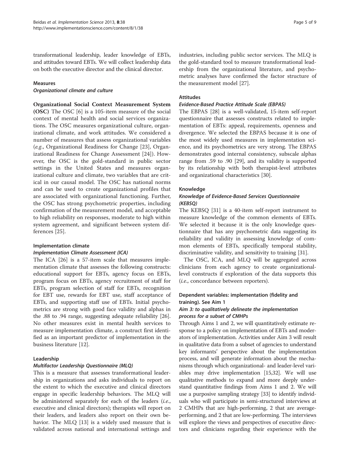transformational leadership, leader knowledge of EBTs, and attitudes toward EBTs. We will collect leadership data on both the executive director and the clinical director.

#### Measures

#### Organizational climate and culture

 $\overline{O}$  (OSC) The OSC [[6\]](#page-9-0) is a 105-item measure of the social context of mental health and social services organizacontext of mental health and social services organizations. The OSC measures organizational culture, organizational climate, and work attitudes. We considered a number of measures that assess organizational variables (e.g., Organizational Readiness for Change [[23\]](#page-9-0), Organizational Readiness for Change Assessment [[24](#page-9-0)]). However, the OSC is the gold-standard in public sector settings in the United States and measures organizational culture and climate, two variables that are critical in our causal model. The OSC has national norms and can be used to create organizational profiles that are associated with organizational functioning. Further, the OSC has strong psychometric properties, including confirmation of the measurement model, and acceptable to high reliability on responses, moderate to high within system agreement, and significant between system differences [[25\]](#page-9-0).

### Implementation climate

#### Implementation Climate Assessment (ICA)

The ICA [\[26](#page-9-0)] is a 57-item scale that measures implementation climate that assesses the following constructs: educational support for EBTs, agency focus on EBTs, program focus on EBTs, agency recruitment of staff for EBTs, program selection of staff for EBTs, recognition for EBT use, rewards for EBT use, staff acceptance of EBTs, and supporting staff use of EBTs. Initial psychometrics are strong with good face validity and alphas in the .88 to .94 range, suggesting adequate reliability [\[26](#page-9-0)]. No other measures exist in mental health services to measure implementation climate, a construct first identified as an important predictor of implementation in the business literature [\[12](#page-9-0)].

### Leadership

### Multifactor Leadership Questionnaire (MLQ)

This is a measure that assesses transformational leadership in organizations and asks individuals to report on the extent to which the executive and clinical directors engage in specific leadership behaviors. The MLQ will be administered separately for each of the leaders (i.e., executive and clinical directors); therapists will report on their leaders, and leaders also report on their own behavior. The MLQ [[13\]](#page-9-0) is a widely used measure that is validated across national and international settings and industries, including public sector services. The MLQ is the gold-standard tool to measure transformational leadership from the organizational literature, and psychometric analyses have confirmed the factor structure of the measurement model [[27](#page-9-0)].

### Attitudes

#### Evidence-Based Practice Attitude Scale (EBPAS)

The EBPAS [[28\]](#page-9-0) is a well-validated, 15-item self-report questionnaire that assesses constructs related to implementation of EBTs: appeal, requirements, openness and divergence. We selected the EBPAS because it is one of the most widely used measures in implementation science, and its psychometrics are very strong. The EBPAS demonstrates good internal consistency, subscale alphas range from .59 to .90 [\[29](#page-9-0)], and its validity is supported by its relationship with both therapist-level attributes and organizational characteristics [[30\]](#page-10-0).

### Knowledge

## Knowledge of Evidence-Based Services Questionnaire (KEBSQ)

The KEBSQ [[31\]](#page-10-0) is a 40-item self-report instrument to measure knowledge of the common elements of EBTs. We selected it because it is the only knowledge questionnaire that has any psychometric data suggesting its reliability and validity in assessing knowledge of common elements of EBTs, specifically temporal stability, discriminative validity, and sensitivity to training [[31\]](#page-10-0).

The OSC, ICA, and MLQ will be aggregated across clinicians from each agency to create organizationallevel constructs if exploration of the data supports this (i.e., concordance between reporters).

## Dependent variables: implementation (fidelity and training). See Aim [1](#page-4-0)

### Aim 3: to qualitatively delineate the implementation process for a subset of CMHPs

Through Aims 1 and 2, we will quantitatively estimate response to a policy on implementation of EBTs and moderators of implementation. Activities under Aim 3 will result in qualitative data from a subset of agencies to understand key informants' perspective about the implementation process, and will generate information about the mechanisms through which organizational- and leader-level variables may drive implementation [\[15,](#page-9-0)[32](#page-10-0)]. We will use qualitative methods to expand and more deeply understand quantitative findings from Aims 1 and 2. We will use a purposive sampling strategy [\[33](#page-10-0)] to identify individuals who will participate in semi-structured interviews at 2 CMHPs that are high-performing, 2 that are averageperforming, and 2 that are low-performing. The interviews will explore the views and perspectives of executive directors and clinicians regarding their experience with the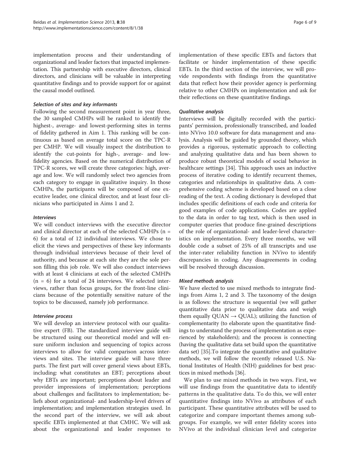implementation process and their understanding of organizational and leader factors that impacted implementation. This partnership with executive directors, clinical directors, and clinicians will be valuable in interpreting quantitative findings and to provide support for or against the causal model outlined.

### Selection of sites and key informants

Following the second measurement point in year three, the 30 sampled CMHPs will be ranked to identify the highest-, average- and lowest-performing sites in terms of fidelity gathered in Aim 1. This ranking will be continuous as based on average total score on the TPC-R per CMHP. We will visually inspect the distribution to identify the cut-points for high-, average- and lowfidelity agencies. Based on the numerical distribution of TPC-R scores, we will create three categories: high, average and low. We will randomly select two agencies from each category to engage in qualitative inquiry. In those CMHPs, the participants will be composed of one executive leader, one clinical director, and at least four clinicians who participated in Aims 1 and 2.

### Interviews

We will conduct interviews with the executive director and clinical director at each of the selected CMHPs (n = 6) for a total of 12 individual interviews. We chose to elicit the views and perspectives of these key informants through individual interviews because of their level of authority, and because at each site they are the sole person filling this job role. We will also conduct interviews with at least 4 clinicians at each of the selected CMHPs  $(n = 6)$  for a total of 24 interviews. We selected interviews, rather than focus groups, for the front-line clinicians because of the potentially sensitive nature of the topics to be discussed, namely job performance.

### Interview process

We will develop an interview protocol with our qualitative expert (FB). The standardized interview guide will be structured using our theoretical model and will ensure uniform inclusion and sequencing of topics across interviews to allow for valid comparison across interviews and sites. The interview guide will have three parts. The first part will cover general views about EBTs, including: what constitutes an EBT; perceptions about why EBTs are important; perceptions about leader and provider impressions of implementation; perceptions about challenges and facilitators to implementation; beliefs about organizational- and leadership-level drivers of implementation; and implementation strategies used. In the second part of the interview, we will ask about specific EBTs implemented at that CMHC. We will ask about the organizational and leader responses to implementation of these specific EBTs and factors that facilitate or hinder implementation of these specific EBTs. In the third section of the interview, we will provide respondents with findings from the quantitative data that reflect how their provider agency is performing relative to other CMHPs on implementation and ask for their reflections on these quantitative findings.

### Qualitative analysis

Interviews will be digitally recorded with the participants' permission, professionally transcribed, and loaded into NVivo 10.0 software for data management and analysis. Analysis will be guided by grounded theory, which provides a rigorous, systematic approach to collecting and analyzing qualitative data and has been shown to produce robust theoretical models of social behavior in healthcare settings [\[34](#page-10-0)]. This approach uses an inductive process of iterative coding to identify recurrent themes, categories and relationships in qualitative data. A comprehensive coding scheme is developed based on a close reading of the text. A coding dictionary is developed that includes specific definitions of each code and criteria for good examples of code applications. Codes are applied to the data in order to tag text, which is then used in computer queries that produce fine-grained descriptions of the role of organizational- and leader-level characteristics on implementation. Every three months, we will double code a subset of 25% of all transcripts and use the inter-rater reliability function in NVivo to identify discrepancies in coding. Any disagreements in coding will be resolved through discussion.

## Mixed methods analysis

We have elected to use mixed methods to integrate findings from Aims 1, 2 and 3. The taxonomy of the design is as follows: the structure is sequential (we will gather quantitative data prior to qualitative data and weigh them equally  $QUAN \rightarrow QUAL$ ); utilizing the function of complementarity (to elaborate upon the quantitative findings to understand the process of implementation as experienced by stakeholders); and the process is connecting (having the qualitative data set build upon the quantitative data set) [\[35\]](#page-10-0).To integrate the quantitative and qualitative methods, we will follow the recently released U.S. National Institutes of Health (NIH) guidelines for best practices in mixed methods [\[36\]](#page-10-0).

We plan to use mixed methods in two ways. First, we will use findings from the quantitative data to identify patterns in the qualitative data. To do this, we will enter quantitative findings into NVivo as attributes of each participant. These quantitative attributes will be used to categorize and compare important themes among subgroups. For example, we will enter fidelity scores into NVivo at the individual clinician level and categorize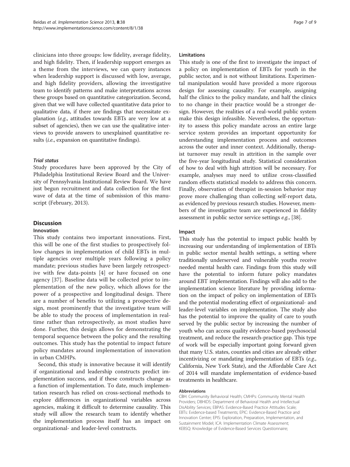clinicians into three groups: low fidelity, average fidelity, and high fidelity. Then, if leadership support emerges as a theme from the interviews, we can query instances when leadership support is discussed with low, average, and high fidelity providers, allowing the investigative team to identify patterns and make interpretations across these groups based on quantitative categorization. Second, given that we will have collected quantitative data prior to qualitative data, if there are findings that necessitate explanation (e.g., attitudes towards EBTs are very low at a subset of agencies), then we can use the qualitative interviews to provide answers to unexplained quantitative results (*i.e.*, expansion on quantitative findings).

#### Trial status

Study procedures have been approved by the City of Philadelphia Institutional Review Board and the University of Pennsylvania Institutional Review Board. We have just begun recruitment and data collection for the first wave of data at the time of submission of this manuscript (February, 2013).

## **Discussion**

#### Innovation

This study contains two important innovations. First, this will be one of the first studies to prospectively follow changes in implementation of child EBTs in multiple agencies over multiple years following a policy mandate; previous studies have been largely retrospective with few data-points [[4\]](#page-9-0) or have focused on one agency [[37](#page-10-0)]. Baseline data will be collected prior to implementation of the new policy, which allows for the power of a prospective and longitudinal design. There are a number of benefits to utilizing a prospective design, most prominently that the investigative team will be able to study the process of implementation in realtime rather than retrospectively, as most studies have done. Further, this design allows for demonstrating the temporal sequence between the policy and the resulting outcomes. This study has the potential to impact future policy mandates around implementation of innovation in urban CMHPs.

Second, this study is innovative because it will identify if organizational and leadership constructs predict implementation success, and if these constructs change as a function of implementation. To date, much implementation research has relied on cross-sectional methods to explore differences in organizational variables across agencies, making it difficult to determine causality. This study will allow the research team to identify whether the implementation process itself has an impact on organizational- and leader-level constructs.

#### Limitations

This study is one of the first to investigate the impact of a policy on implementation of EBTs for youth in the public sector, and is not without limitations. Experimental manipulation would have provided a more rigorous design for assessing causality. For example, assigning half the clinics to the policy mandate, and half the clinics to no change in their practice would be a stronger design. However, the realities of a real-world public system make this design infeasible. Nevertheless, the opportunity to assess this policy mandate across an entire large service system provides an important opportunity for understanding implementation process and outcomes across the outer and inner context. Additionally, therapist turnover may result in attrition in the sample over the five-year longitudinal study. Statistical consideration of how to deal with high attrition will be necessary. For example, analyses may need to utilize cross-classified random effects statistical models to address this concern. Finally, observation of therapist in-session behavior may prove more challenging than collecting self-report data, as evidenced by previous research studies. However, members of the investigative team are experienced in fidelity assessment in public sector service settings e.g., [\[38\]](#page-10-0).

#### Impact

This study has the potential to impact public health by increasing our understanding of implementation of EBTs in public sector mental health settings, a setting where traditionally underserved and vulnerable youths receive needed mental health care. Findings from this study will have the potential to inform future policy mandates around EBT implementation. Findings will also add to the implementation science literature by providing information on the impact of policy on implementation of EBTs and the potential moderating effect of organizational- and leader-level variables on implementation. The study also has the potential to improve the quality of care to youth served by the public sector by increasing the number of youth who can access quality evidence-based psychosocial treatment, and reduce the research-practice gap. This type of work will be especially important going forward given that many U.S. states, counties and cities are already either incentivizing or mandating implementation of EBTs (e.g., California, New York State), and the Affordable Care Act of 2014 will mandate implementation of evidence-based treatments in healthcare.

#### Abbreviations

CBH: Community Behavioral Health; CMHPs: Community Mental Health Providers; DBHIDS: Department of Behavioral Health and Intellectual DisAbility Services; EBPAS: Evidence-Based Practice Attitudes Scale; EBTs: Evidence-based Treatments; EPIC: Evidence-Based Practice and Innovation Center; EPIS: Exploration, Preparation, Implementation, and Sustainment Model; ICA: Implementation Climate Assessment; KEBSQ: Knowledge of Evidence-Based Services Questionnaire;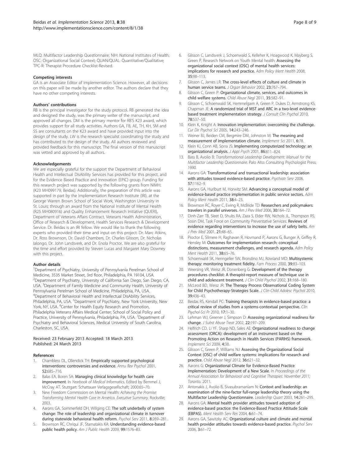<span id="page-9-0"></span>MLQ: Multifactor Leadership Questionnaire; NIH: National Institutes of Health; OSC: Organizational Social Context; QUAN/QUAL: Quantitative/Qualitative; TPC-R: Therapist Procedure Checklist-Revised.

#### Competing interests

GA is an Associate Editor of Implementation Science. However, all decisions on this paper will be made by another editor. The authors declare that they have no other competing interests.

#### Authors' contributions

RB is the principal investigator for the study protocol. RB generated the idea and designed the study, was the primary writer of the manuscript, and approved all changes. DM is the primary mentor for RB'S K23 award, which provides support for all study activities. Authors GA, FB, AE, TH, KH, SM and SS are consultants on the K23 award and have provided input into the design of the study. LW is the research specialist coordinating the study and has contributed to the design of the study. All authors reviewed and provided feedback for this manuscript. The final version of this manuscript was vetted and approved by all authors.

#### Acknowledgements

We are especially grateful for the support the Department of Behavioral Health and Intellectual DisAbility Services has provided for this project, and for the Evidence Based Practice and Innovation (EPIC) group. Funding for this research project was supported by the following grants from NIMH: (K23 MH099179, Beidas). Additionally, the preparation of this article was supported in part by the Implementation Research Institute (IRI), at the George Warren Brown School of Social Work, Washington University in St. Louis; through an award from the National Institute of Mental Health (R25 MH080916) and Quality Enhancement Research Initiative (QUERI), Department of Veterans Affairs Contract, Veterans Health Administration, Office of Research & Development, Health Services Research & Development Service. Dr. Beidas is an IRI fellow. We would like to thank the following experts who provided their time and input on this project: Dr. Marc Atkins, Dr. Ross Brownson, Dr. David Chambers, Dr. Charles Glisson, Dr. Nicholas Ialongo, Dr. John Landsverk, and Dr. Enola Proctor. We are also grateful for the time and effort provided by Steven Lucas and Margaret Mary Downey with this project.

#### Author details

<sup>1</sup>Department of Psychiatry, University of Pennsylvania Perelman School of Medicine, 3535 Market Street, 3rd floor, Philadelphia, PA 19104, USA. 2 Department of Psychiatry, University of California San Diego, San Diego, CA, USA. <sup>3</sup> Department of Family Medicine and Community Health, University of Pennsylvania Perelman School of Medicine, Philadelphia, PA, USA. <sup>4</sup>Department of Behavioral Health and Intellectual DisAbility Services, Philadelphia, PA, USA. <sup>5</sup>Department of Psychiatry, New York University, New York, NY, USA. <sup>6</sup>Center for Health Equity Research and Promotion, Philadelphia Veterans Affairs Medical Center; School of Social Policy and Practice, University of Pennsylvania, Philadelphia, PA, USA. <sup>7</sup>Department of Psychiatry and Behavioral Sciences, Medical University of South Carolina, Charleston, SC, USA.

#### Received: 23 February 2013 Accepted: 18 March 2013 Published: 24 March 2013

#### References

- 1. Chambless DL, Ollendick TH: Empirically supported psychological interventions: controversies and evidence. Annu Rev Psychol 2001, 52:685–716.
- Balas EA, Boren SA: Managing clinical knowledge for health care improvement. In Yearbook of Medical Informatics. Edited by Bemmel J, McCray AT. Stuttgart: Schattauer Verlagsgesellschaft; 2000:65–70.
- 3. New Freedom Commission on Mental Health: Achieving the Promise: Transforming Mental Health Care in America. Executive Summary. Rockville; 2003.
- Aarons GA, Sommerfeld DH, Willging CE: The soft underbelly of system change: The role of leadership and organizational climate in turnover during statewide behavioral health reform. Psychol Serv 2011, 8:269–281.
- 5. Brownson RC, Chriqui JF, Stamatakis KA: Understanding evidence-based public health policy. Am J Public Health 2009, 99:1576–83.
- 6. Glisson C, Landsverk J, Schoenwald S, Kelleher K, Hoagwood K, Mayberg S, Green P, Research Network on Youth Mental health: Assessing the organizational social context (OSC) of mental health services: implications for research and practice. Adm Policy Ment Health 2008, 35:98–113.
- 7. Glisson C, James LR: The cross-level effects of culture and climate in human service teams. J Organ Behavior 2002, 23:767-794.
- 8. Glisson C, Green P: Organizational climate, services, and outcomes in child welfare systems. Child Abuse Negl 2011, 35:582–91.
- 9. Glisson C, Schoenwald SK, Hemmelgam A, Green P, Dukes D, Armstrong KS, Chapman JE: A randomized trial of MST and ARC in a two-level evidencebased treatment implementation strategy. J Consult Clin Psychol 2010, 78:537–50.
- 10. Klein K, Knight A: Innovation implementation: overcoming the challenge. Cur Dir Psychol Sci 2005, 14:243–246.
- 11. Weiner BJ, Beiden CM, Bergmire DM, Johnston M: The meaning and measurement of implementation climate. Implement Sci 2011, 6:78.
- Klein KJ, Conn AB, Sorra JS: Implementing computerized technology: an organizational analysis. J Appl Psych 2001, 86:811–824.
- 13. Bass B, Avolio B: Transformational Leadership Development: Manual for the Multifactor Leadership Questionnaire. Palo Alto: Consulting Psychologist Press; 1990.
- 14. Aarons GA: Transformational and transactional leadership: association with attitudes toward evidence-based practice. Psychiatr Serv 2006, 57:1162–9.
- 15. Aarons GA, Hurlburt M, Horwitz SM: Advancing a conceptual model of evidence-based practice implementation in public service sectors. Adm Policy Ment Health 2011, 38:4-23.
- 16. Brownson RC, Royer C, Ewing R, McBride TD: Researchers and policymakers: travelers in parallel universes. Am J Prev Med 2006, 30:164-72.
- 17. Dinh-Zarr TB, Sleet D, Shults RA, Zaza S, Elder RW, Nichols JL, Thompson RS, Sosin DM, Task Force on Community Preventative Services: Reviews of evidence regarding interventions to increase the use of safety belts. Am J Prev Med 2001, 21:48–65.
- 18. Proctor E, Silmere H, Raghavan R, Hovmand P, Aarons G, Bunger A, Griffey R, Hensley M: Outcomes for implementation research: conceptual distinctions, measurement challenges, and research agenda. Adm Policy Ment Health 2011, 38:65–76.
- 19. Schoenwald SK, Henngeller SW, Brondino MJ, Rowland MD: Multisystemic therapy: monitoring treatment fidelity. Fam Process 2000, 39:83-103.
- 20. Weersing VR, Weisz JR, Donenberg G: Development of the therapy procedures checklist: A therapist-report measure of technique use in child and adolescent treatment. J Clin Child Psychol 2002, 31:168-180.
- 21. McLeod BD, Weisz JR: The Therapy Process Observational Coding System for Child Psychotherapy-Strategies Scale. J Clin Child Adolesc Psychol 2010, 39:436–43.
- 22. Beidas RS, Kendall PC: Training therapists in evidence-based practice: a critical review of studies from a systems-contextual perspective. Clin Psychol-Sci Pr 2010, 17:1–30.
- 23. Lehman WJ, Greener J, Simpson D: Assessing organizational readiness for change. J Subst Abuse Treat 2002, 22:197–209.
- 24. Helfrich CD, Li YF, Sharp ND, Sales AE: Organizational readiness to change assessment (ORCA): development of an instrument based on the Promoting Action on Research in Health Services (PARIHS) framework. Implement Sci 2009, 4:38.
- 25. Glisson C, Green P, Williams NJ: Assessing the Organizational Social Context (OSC) of child welfare systems: implications for research and practice. Child Abuse Negl 2012, 36:621–32.
- 26. Aarons G: Organizational Climate for Evidence-Based Practice Implementation: Development of a New Scale. In Proceedings of the Annual Association for Behavioral and Cognitive Therapies: November 2011; Toronto. 2011.
- 27. Antonakis J, Avolio B, Sivasubramaniam N: Context and leadership: an examination of the nine-factor full-range leadership theory using the Multifactor Leadership Questionnaire. Leadership Quart 2003, 14:261–295.
- 28. Aarons GA: Mental health provider attitudes toward adoption of evidence-based practice: the Evidence-Based Practice Attitude Scale (EBPAS). Ment Health Serv Res 2004, 6:61–74.
- 29. Aarons GA, Sawitzky AC: Organizational culture and climate and mental health provider attitudes towards evidence-based practice. Psychol Serv 2006, 3:61–72.